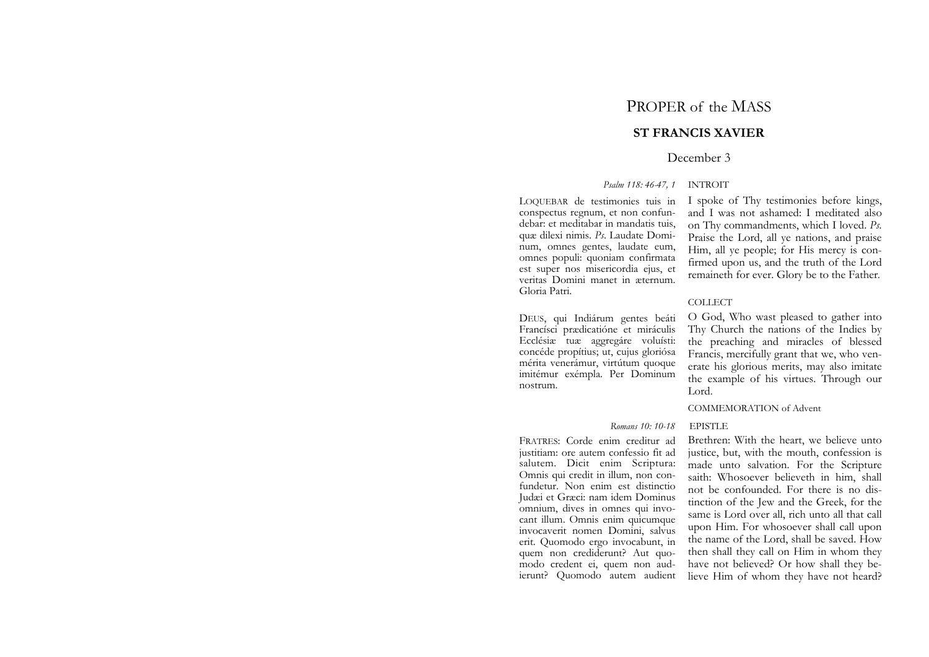# PROPER of the MASS

## **ST FRANCIS XAVIER**

## December 3

## *Psalm 118: 46-47, 1* INTROIT

LOQUEBAR de testimonies tuis in conspectus regnum, et non confundebar: et meditabar in mandatis tuis, quæ dilexi nimis. *Ps*. Laudate Dominum, omnes gentes, laudate eum, omnes populi: quoniam confirmata est super nos misericordia ejus, et veritas Domini manet in æternum. Gloria Patri.

DEUS, qui Indiárum gentes beáti Francísci prædicatióne et miráculis Ecclésiæ tuæ aggregáre voluísti: concéde propítius; ut, cujus gloriósa mérita venerámur, virtútum quoque imitémur exémpla. Per Dominum nostrum.

I spoke of Thy testimonies before kings, and I was not ashamed: I meditated also on Thy commandments, which I loved. *Ps.*  Praise the Lord, all ye nations, and praise Him, all ye people; for His mercy is confirmed upon us, and the truth of the Lord remaineth for ever. Glory be to the Father.

#### COLLECT

O God, Who wast pleased to gather into Thy Church the nations of the Indies by the preaching and miracles of blessed Francis, mercifully grant that we, who venerate his glorious merits, may also imitate the example of his virtues. Through our Lord.

## COMMEMORATION of Advent

## *Romans 10: 10-18* EPISTLE

FRATRES: Corde enim creditur ad justitiam: ore autem confessio fit ad salutem. Dicit enim Scriptura: Omnis qui credit in illum, non confundetur. Non enim est distinctio Judæi et Græci: nam idem Dominus omnium, dives in omnes qui invocant illum. Omnis enim quicumque invocaverit nomen Domini, salvus erit. Quomodo ergo invocabunt, in quem non crediderunt? Aut quomodo credent ei, quem non audierunt? Quomodo autem audient Brethren: With the heart, we believe unto justice, but, with the mouth, confession is made unto salvation. For the Scripture saith: Whosoever believeth in him, shall not be confounded. For there is no distinction of the Jew and the Greek, for the same is Lord over all, rich unto all that call upon Him. For whosoever shall call upon the name of the Lord, shall be saved. How then shall they call on Him in whom they have not believed? Or how shall they believe Him of whom they have not heard?